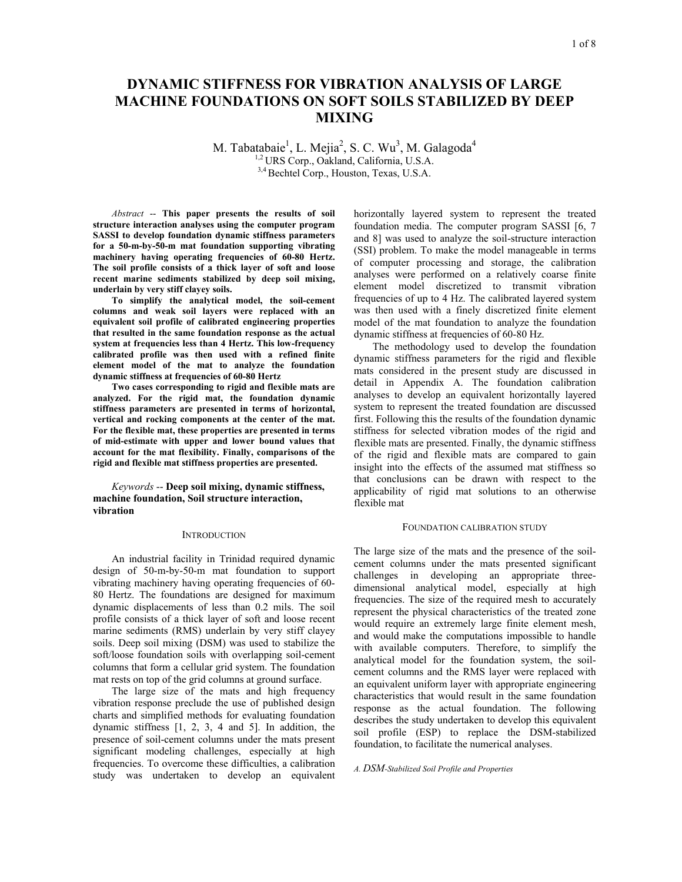# **DYNAMIC STIFFNESS FOR VIBRATION ANALYSIS OF LARGE MACHINE FOUNDATIONS ON SOFT SOILS STABILIZED BY DEEP MIXING**

M. Tabatabaie<sup>1</sup>, L. Mejia<sup>2</sup>, S. C. Wu<sup>3</sup>, M. Galagoda<sup>4</sup> 1,2 URS Corp., Oakland, California, U.S.A. 3,4 Bechtel Corp., Houston, Texas, U.S.A.

*Abstract* -- **This paper presents the results of soil structure interaction analyses using the computer program SASSI to develop foundation dynamic stiffness parameters for a 50-m-by-50-m mat foundation supporting vibrating**  machinery having operating frequencies of 60-80 Hertz. **The soil profile consists of a thick layer of soft and loose recent marine sediments stabilized by deep soil mixing, underlain by very stiff clayey soils.** 

**To simplify the analytical model, the soil-cement columns and weak soil layers were replaced with an equivalent soil profile of calibrated engineering properties that resulted in the same foundation response as the actual system at frequencies less than 4 Hertz. This low-frequency calibrated profile was then used with a refined finite element model of the mat to analyze the foundation dynamic stiffness at frequencies of 60-80 Hertz** 

**Two cases corresponding to rigid and flexible mats are analyzed. For the rigid mat, the foundation dynamic stiffness parameters are presented in terms of horizontal, vertical and rocking components at the center of the mat. For the flexible mat, these properties are presented in terms of mid-estimate with upper and lower bound values that account for the mat flexibility. Finally, comparisons of the rigid and flexible mat stiffness properties are presented.** 

*Keywords* -- **Deep soil mixing, dynamic stiffness, machine foundation, Soil structure interaction, vibration**

#### **INTRODUCTION**

An industrial facility in Trinidad required dynamic design of 50-m-by-50-m mat foundation to support vibrating machinery having operating frequencies of 60- 80 Hertz. The foundations are designed for maximum dynamic displacements of less than 0.2 mils. The soil profile consists of a thick layer of soft and loose recent marine sediments (RMS) underlain by very stiff clayey soils. Deep soil mixing (DSM) was used to stabilize the soft/loose foundation soils with overlapping soil-cement columns that form a cellular grid system. The foundation mat rests on top of the grid columns at ground surface.

The large size of the mats and high frequency vibration response preclude the use of published design charts and simplified methods for evaluating foundation dynamic stiffness [1, 2, 3, 4 and 5]. In addition, the presence of soil-cement columns under the mats present significant modeling challenges, especially at high frequencies. To overcome these difficulties, a calibration study was undertaken to develop an equivalent horizontally layered system to represent the treated foundation media. The computer program SASSI [6, 7 and 8] was used to analyze the soil-structure interaction (SSI) problem. To make the model manageable in terms of computer processing and storage, the calibration analyses were performed on a relatively coarse finite element model discretized to transmit vibration frequencies of up to 4 Hz. The calibrated layered system was then used with a finely discretized finite element model of the mat foundation to analyze the foundation dynamic stiffness at frequencies of 60-80 Hz.

The methodology used to develop the foundation dynamic stiffness parameters for the rigid and flexible mats considered in the present study are discussed in detail in Appendix A. The foundation calibration analyses to develop an equivalent horizontally layered system to represent the treated foundation are discussed first. Following this the results of the foundation dynamic stiffness for selected vibration modes of the rigid and flexible mats are presented. Finally, the dynamic stiffness of the rigid and flexible mats are compared to gain insight into the effects of the assumed mat stiffness so that conclusions can be drawn with respect to the applicability of rigid mat solutions to an otherwise flexible mat

## FOUNDATION CALIBRATION STUDY

The large size of the mats and the presence of the soilcement columns under the mats presented significant challenges in developing an appropriate threedimensional analytical model, especially at high frequencies. The size of the required mesh to accurately represent the physical characteristics of the treated zone would require an extremely large finite element mesh, and would make the computations impossible to handle with available computers. Therefore, to simplify the analytical model for the foundation system, the soilcement columns and the RMS layer were replaced with an equivalent uniform layer with appropriate engineering characteristics that would result in the same foundation response as the actual foundation. The following describes the study undertaken to develop this equivalent soil profile (ESP) to replace the DSM-stabilized foundation, to facilitate the numerical analyses.

## *A. DSM-Stabilized Soil Profile and Properties*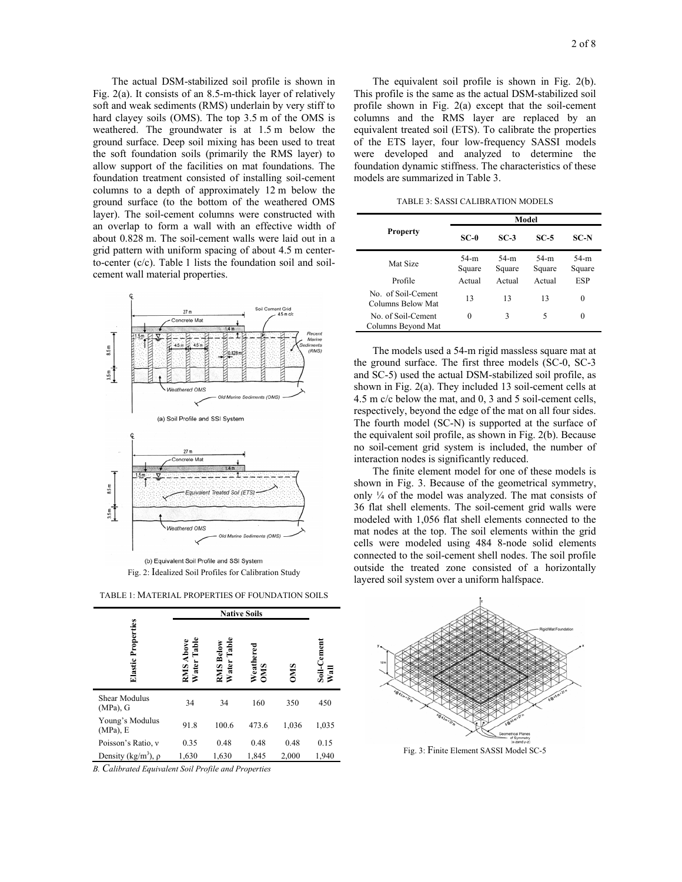The actual DSM-stabilized soil profile is shown in Fig. 2(a). It consists of an 8.5-m-thick layer of relatively soft and weak sediments (RMS) underlain by very stiff to hard clayey soils (OMS). The top 3.5 m of the OMS is weathered. The groundwater is at 1.5 m below the ground surface. Deep soil mixing has been used to treat the soft foundation soils (primarily the RMS layer) to allow support of the facilities on mat foundations. The foundation treatment consisted of installing soil-cement columns to a depth of approximately 12 m below the ground surface (to the bottom of the weathered OMS layer). The soil-cement columns were constructed with an overlap to form a wall with an effective width of about 0.828 m. The soil-cement walls were laid out in a grid pattern with uniform spacing of about 4.5 m centerto-center (c/c). Table 1 lists the foundation soil and soilcement wall material properties.



Fig. 2: Idealized Soil Profiles for Calibration Study

TABLE 1: MATERIAL PROPERTIES OF FOUNDATION SOILS

|                                      | <b>Native Soils</b>             |                          |                  |            |                                |
|--------------------------------------|---------------------------------|--------------------------|------------------|------------|--------------------------------|
| Elastic Properties                   | <b>RMS Above</b><br>Water Table | RMS Below<br>Water Table | Weathered<br>OMS | <b>OMO</b> | -Cenem<br>$\frac{1}{\sqrt{2}}$ |
| Shear Modulus<br>$(MPa)$ , G         | 34                              | 34                       | 160              | 350        | 450                            |
| Young's Modulus<br>$(MPa)$ , E       | 91.8                            | 100.6                    | 473.6            | 1,036      | 1,035                          |
| Poisson's Ratio, v                   | 0.35                            | 0.48                     | 0.48             | 0.48       | 0.15                           |
| Density (kg/m <sup>3</sup> ), $\rho$ | 1,630                           | 1,630                    | 1,845            | 2,000      | 1,940                          |

*B. Calibrated Equivalent Soil Profile and Properties* 

 The equivalent soil profile is shown in Fig. 2(b). This profile is the same as the actual DSM-stabilized soil profile shown in Fig. 2(a) except that the soil-cement columns and the RMS layer are replaced by an equivalent treated soil (ETS). To calibrate the properties of the ETS layer, four low-frequency SASSI models were developed and analyzed to determine the foundation dynamic stiffness. The characteristics of these models are summarized in Table 3.

TABLE 3: SASSI CALIBRATION MODELS

|                                          | Model            |                  |                  |                  |  |
|------------------------------------------|------------------|------------------|------------------|------------------|--|
| <b>Property</b>                          | $SC-0$           | $SC-3$           | $SC-5$           | <b>SC-N</b>      |  |
| Mat Size                                 | $54-m$<br>Square | $54-m$<br>Square | $54-m$<br>Square | $54-m$<br>Square |  |
| Profile                                  | Actual           | Actual           | Actual           | ESP              |  |
| No. of Soil-Cement<br>Columns Below Mat  | 13               | 13               | 13               | $\theta$         |  |
| No. of Soil-Cement<br>Columns Beyond Mat | 0                | 3                | 5                | $\theta$         |  |

 The models used a 54-m rigid massless square mat at the ground surface. The first three models (SC-0, SC-3 and SC-5) used the actual DSM-stabilized soil profile, as shown in Fig. 2(a). They included 13 soil-cement cells at 4.5 m c/c below the mat, and 0, 3 and 5 soil-cement cells, respectively, beyond the edge of the mat on all four sides. The fourth model (SC-N) is supported at the surface of the equivalent soil profile, as shown in Fig. 2(b). Because no soil-cement grid system is included, the number of interaction nodes is significantly reduced.

 The finite element model for one of these models is shown in Fig. 3. Because of the geometrical symmetry, only ¼ of the model was analyzed. The mat consists of 36 flat shell elements. The soil-cement grid walls were modeled with 1,056 flat shell elements connected to the mat nodes at the top. The soil elements within the grid cells were modeled using 484 8-node solid elements connected to the soil-cement shell nodes. The soil profile outside the treated zone consisted of a horizontally layered soil system over a uniform halfspace.



Fig. 3: Finite Element SASSI Model SC-5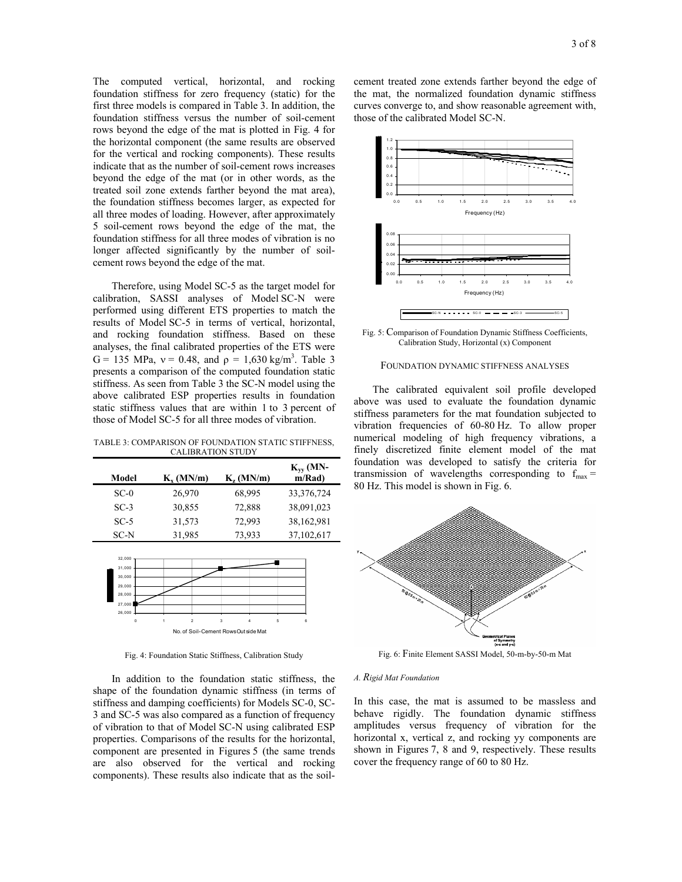The computed vertical, horizontal, and rocking foundation stiffness for zero frequency (static) for the first three models is compared in Table 3. In addition, the foundation stiffness versus the number of soil-cement rows beyond the edge of the mat is plotted in Fig. 4 for the horizontal component (the same results are observed for the vertical and rocking components). These results indicate that as the number of soil-cement rows increases beyond the edge of the mat (or in other words, as the treated soil zone extends farther beyond the mat area), the foundation stiffness becomes larger, as expected for all three modes of loading. However, after approximately 5 soil-cement rows beyond the edge of the mat, the foundation stiffness for all three modes of vibration is no longer affected significantly by the number of soilcement rows beyond the edge of the mat.

 Therefore, using Model SC-5 as the target model for calibration, SASSI analyses of Model SC-N were performed using different ETS properties to match the results of Model SC-5 in terms of vertical, horizontal, and rocking foundation stiffness. Based on these analyses, the final calibrated properties of the ETS were G = 135 MPa,  $v = 0.48$ , and  $\rho = 1,630$  kg/m<sup>3</sup>. Table 3 presents a comparison of the computed foundation static stiffness. As seen from Table 3 the SC-N model using the above calibrated ESP properties results in foundation static stiffness values that are within 1 to 3 percent of those of Model SC-5 for all three modes of vibration.

TABLE 3: COMPARISON OF FOUNDATION STATIC STIFFNESS, CALIBRATION STUDY

| Model  | $K_{\rm v}$ (MN/m) | $K_{\rm z}$ (MN/m) | $K_{vv}$ (MN-<br>m/Rad |
|--------|--------------------|--------------------|------------------------|
| $SC-0$ | 26,970             | 68,995             | 33,376,724             |
| $SC-3$ | 30,855             | 72,888             | 38,091,023             |
| $SC-5$ | 31,573             | 72,993             | 38,162,981             |
| SC-N   | 31,985             | 73,933             | 37,102,617             |



Fig. 4: Foundation Static Stiffness, Calibration Study

 In addition to the foundation static stiffness, the shape of the foundation dynamic stiffness (in terms of stiffness and damping coefficients) for Models SC-0, SC-3 and SC-5 was also compared as a function of frequency of vibration to that of Model SC-N using calibrated ESP properties. Comparisons of the results for the horizontal, component are presented in Figures 5 (the same trends are also observed for the vertical and rocking components). These results also indicate that as the soilcement treated zone extends farther beyond the edge of the mat, the normalized foundation dynamic stiffness curves converge to, and show reasonable agreement with, those of the calibrated Model SC-N.



Fig. 5: Comparison of Foundation Dynamic Stiffness Coefficients, Calibration Study, Horizontal (x) Component

## FOUNDATION DYNAMIC STIFFNESS ANALYSES

 The calibrated equivalent soil profile developed above was used to evaluate the foundation dynamic stiffness parameters for the mat foundation subjected to vibration frequencies of 60-80 Hz. To allow proper numerical modeling of high frequency vibrations, a finely discretized finite element model of the mat foundation was developed to satisfy the criteria for transmission of wavelengths corresponding to  $f_{\text{max}} =$ 80 Hz. This model is shown in Fig. 6.



Fig. 6: Finite Element SASSI Model, 50-m-by-50-m Mat

### *A. Rigid Mat Foundation*

In this case, the mat is assumed to be massless and behave rigidly. The foundation dynamic stiffness amplitudes versus frequency of vibration for the horizontal x, vertical z, and rocking yy components are shown in Figures 7, 8 and 9, respectively. These results cover the frequency range of 60 to 80 Hz.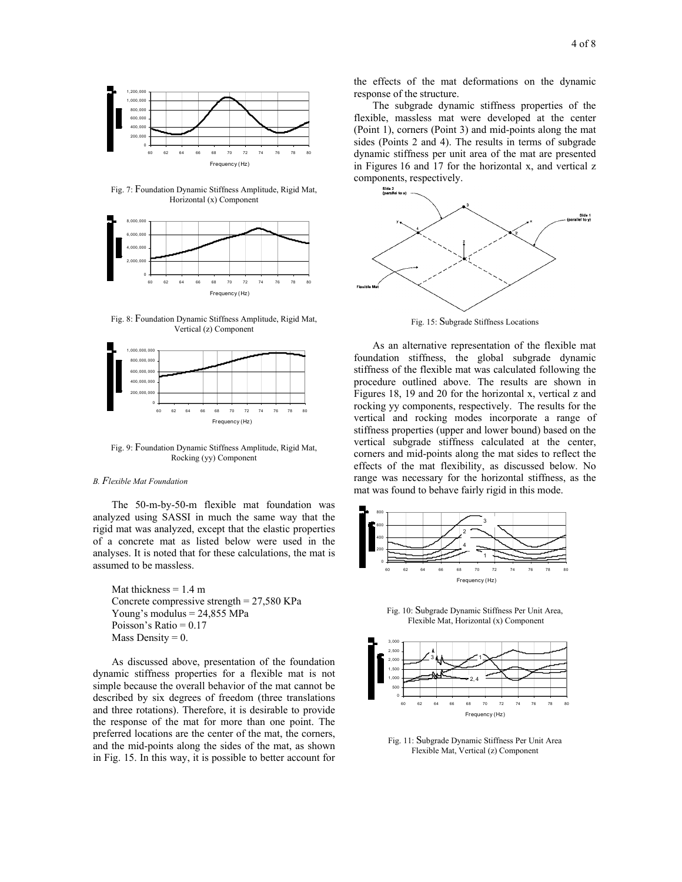

Fig. 7: Foundation Dynamic Stiffness Amplitude, Rigid Mat, Horizontal (x) Component



Fig. 8: Foundation Dynamic Stiffness Amplitude, Rigid Mat, Vertical (z) Component



Fig. 9: Foundation Dynamic Stiffness Amplitude, Rigid Mat, Rocking (yy) Component

#### *B. Flexible Mat Foundation*

 The 50-m-by-50-m flexible mat foundation was analyzed using SASSI in much the same way that the rigid mat was analyzed, except that the elastic properties of a concrete mat as listed below were used in the analyses. It is noted that for these calculations, the mat is assumed to be massless.

Mat thickness  $= 1.4$  m Concrete compressive strength = 27,580 KPa Young's modulus = 24,855 MPa Poisson's Ratio = 0.17 Mass Density  $= 0$ .

 As discussed above, presentation of the foundation dynamic stiffness properties for a flexible mat is not simple because the overall behavior of the mat cannot be described by six degrees of freedom (three translations and three rotations). Therefore, it is desirable to provide the response of the mat for more than one point. The preferred locations are the center of the mat, the corners, and the mid-points along the sides of the mat, as shown in Fig. 15. In this way, it is possible to better account for

the effects of the mat deformations on the dynamic response of the structure.

 The subgrade dynamic stiffness properties of the flexible, massless mat were developed at the center (Point 1), corners (Point 3) and mid-points along the mat sides (Points 2 and 4). The results in terms of subgrade dynamic stiffness per unit area of the mat are presented in Figures 16 and 17 for the horizontal x, and vertical z components, respectively.



Fig. 15: Subgrade Stiffness Locations

 As an alternative representation of the flexible mat foundation stiffness, the global subgrade dynamic stiffness of the flexible mat was calculated following the procedure outlined above. The results are shown in Figures 18, 19 and 20 for the horizontal x, vertical z and rocking yy components, respectively. The results for the vertical and rocking modes incorporate a range of stiffness properties (upper and lower bound) based on the vertical subgrade stiffness calculated at the center, corners and mid-points along the mat sides to reflect the effects of the mat flexibility, as discussed below. No range was necessary for the horizontal stiffness, as the mat was found to behave fairly rigid in this mode.



Fig. 10: Subgrade Dynamic Stiffness Per Unit Area, Flexible Mat, Horizontal (x) Component



Fig. 11: Subgrade Dynamic Stiffness Per Unit Area Flexible Mat, Vertical (z) Component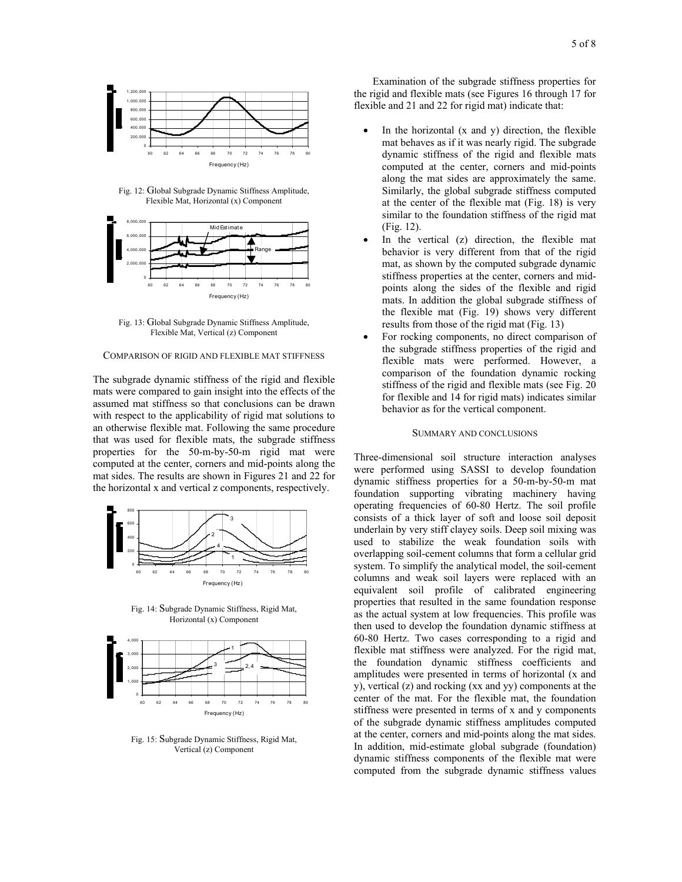

Fig. 12: Global Subgrade Dynamic Stiffness Amplitude, Flexible Mat, Horizontal (x) Component



Fig. 13: Global Subgrade Dynamic Stiffness Amplitude, Flexible Mat, Vertical (z) Component

## COMPARISON OF RIGID AND FLEXIBLE MAT STIFFNESS

The subgrade dynamic stiffness of the rigid and flexible mats were compared to gain insight into the effects of the assumed mat stiffness so that conclusions can be drawn with respect to the applicability of rigid mat solutions to an otherwise flexible mat. Following the same procedure that was used for flexible mats, the subgrade stiffness properties for the 50-m-by-50-m rigid mat were computed at the center, corners and mid-points along the mat sides. The results are shown in Figures 21 and 22 for the horizontal x and vertical z components, respectively.



Fig. 14: Subgrade Dynamic Stiffness, Rigid Mat, Horizontal (x) Component



Fig. 15: Subgrade Dynamic Stiffness, Rigid Mat, Vertical (z) Component

 Examination of the subgrade stiffness properties for the rigid and flexible mats (see Figures 16 through 17 for flexible and 21 and 22 for rigid mat) indicate that:

- In the horizontal (x and y) direction, the flexible mat behaves as if it was nearly rigid. The subgrade dynamic stiffness of the rigid and flexible mats computed at the center, corners and mid-points along the mat sides are approximately the same. Similarly, the global subgrade stiffness computed at the center of the flexible mat (Fig. 18) is very similar to the foundation stiffness of the rigid mat (Fig. 12).
- In the vertical (z) direction, the flexible mat behavior is very different from that of the rigid mat, as shown by the computed subgrade dynamic stiffness properties at the center, corners and midpoints along the sides of the flexible and rigid mats. In addition the global subgrade stiffness of the flexible mat (Fig. 19) shows very different results from those of the rigid mat (Fig. 13)
- For rocking components, no direct comparison of the subgrade stiffness properties of the rigid and flexible mats were performed. However, a comparison of the foundation dynamic rocking stiffness of the rigid and flexible mats (see Fig. 20 for flexible and 14 for rigid mats) indicates similar behavior as for the vertical component.

## SUMMARY AND CONCLUSIONS

Three-dimensional soil structure interaction analyses were performed using SASSI to develop foundation dynamic stiffness properties for a 50-m-by-50-m mat foundation supporting vibrating machinery having operating frequencies of 60-80 Hertz. The soil profile consists of a thick layer of soft and loose soil deposit underlain by very stiff clayey soils. Deep soil mixing was used to stabilize the weak foundation soils with overlapping soil-cement columns that form a cellular grid system. To simplify the analytical model, the soil-cement columns and weak soil layers were replaced with an equivalent soil profile of calibrated engineering properties that resulted in the same foundation response as the actual system at low frequencies. This profile was then used to develop the foundation dynamic stiffness at 60-80 Hertz. Two cases corresponding to a rigid and flexible mat stiffness were analyzed. For the rigid mat, the foundation dynamic stiffness coefficients and amplitudes were presented in terms of horizontal (x and y), vertical (z) and rocking (xx and yy) components at the center of the mat. For the flexible mat, the foundation stiffness were presented in terms of x and y components of the subgrade dynamic stiffness amplitudes computed at the center, corners and mid-points along the mat sides. In addition, mid-estimate global subgrade (foundation) dynamic stiffness components of the flexible mat were computed from the subgrade dynamic stiffness values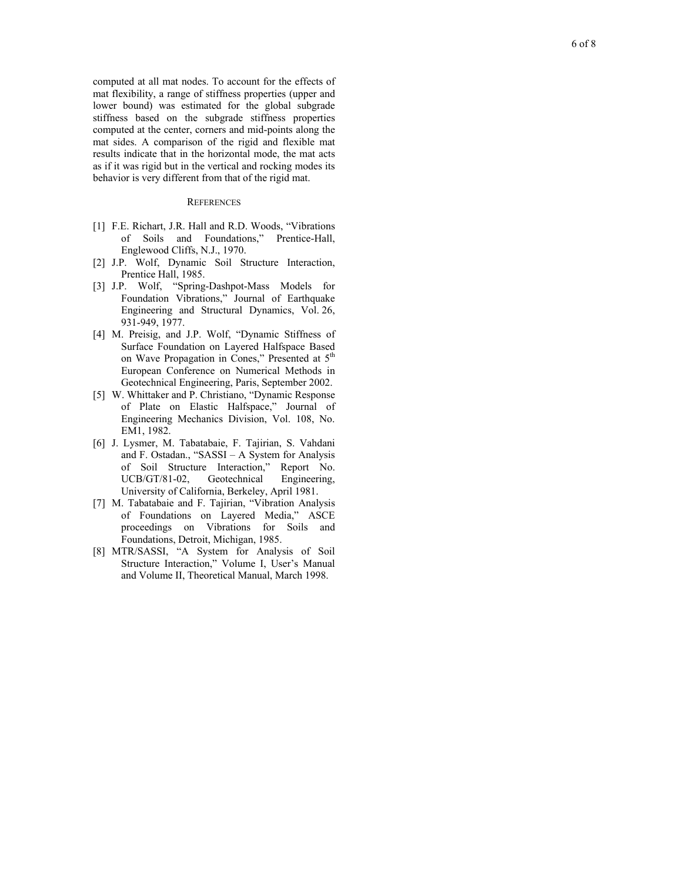computed at all mat nodes. To account for the effects of mat flexibility, a range of stiffness properties (upper and lower bound) was estimated for the global subgrade stiffness based on the subgrade stiffness properties computed at the center, corners and mid-points along the mat sides. A comparison of the rigid and flexible mat results indicate that in the horizontal mode, the mat acts as if it was rigid but in the vertical and rocking modes its behavior is very different from that of the rigid mat.<br>REFERENCES

- [1] F.E. Richart, J.R. Hall and R.D. Woods, "Vibrations of Soils and Foundations," Prentice-Hall, Englewood Cliffs, N.J., 1970.
- [2] J.P. Wolf, Dynamic Soil Structure Interaction, Prentice Hall, 1985.
- [3] J.P. Wolf, "Spring-Dashpot-Mass Models for Foundation Vibrations," Journal of Earthquake Engineering and Structural Dynamics, Vol. 26, 931-949, 1977.
- [4] M. Preisig, and J.P. Wolf, "Dynamic Stiffness of Surface Foundation on Layered Halfspace Based on Wave Propagation in Cones," Presented at 5<sup>th</sup> European Conference on Numerical Methods in Geotechnical Engineering, Paris, September 2002.
- [5] W. Whittaker and P. Christiano, "Dynamic Response of Plate on Elastic Halfspace," Journal of Engineering Mechanics Division, Vol. 108, No. EM1, 1982.
- [6] J. Lysmer, M. Tabatabaie, F. Tajirian, S. Vahdani and F. Ostadan., "SASSI – A System for Analysis of Soil Structure Interaction," Report No. UCB/GT/81-02, Geotechnical Engineering, University of California, Berkeley, April 1981.
- [7] M. Tabatabaie and F. Tajirian, "Vibration Analysis of Foundations on Layered Media," ASCE proceedings on Vibrations for Soils and Foundations, Detroit, Michigan, 1985.
- [8] MTR/SASSI, "A System for Analysis of Soil Structure Interaction," Volume I, User's Manual and Volume II, Theoretical Manual, March 1998.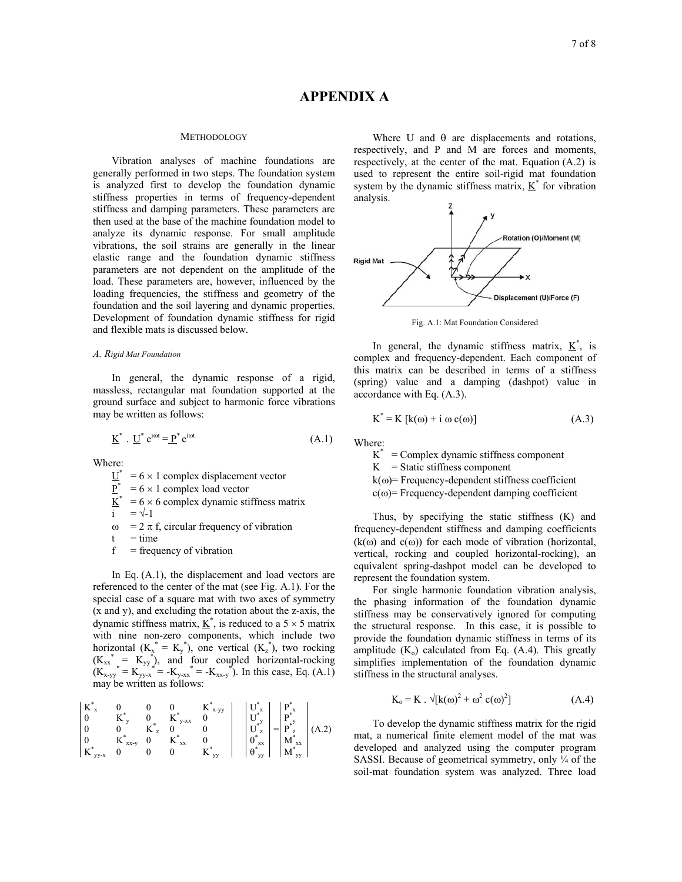### **METHODOLOGY**

Vibration analyses of machine foundations are generally performed in two steps. The foundation system is analyzed first to develop the foundation dynamic stiffness properties in terms of frequency-dependent stiffness and damping parameters. These parameters are then used at the base of the machine foundation model to analyze its dynamic response. For small amplitude vibrations, the soil strains are generally in the linear elastic range and the foundation dynamic stiffness parameters are not dependent on the amplitude of the load. These parameters are, however, influenced by the loading frequencies, the stiffness and geometry of the foundation and the soil layering and dynamic properties. Development of foundation dynamic stiffness for rigid and flexible mats is discussed below.

## *A. Rigid Mat Foundation*

In general, the dynamic response of a rigid, massless, rectangular mat foundation supported at the ground surface and subject to harmonic force vibrations may be written as follows:

$$
\underline{\mathbf{K}}^* \cdot \underline{\mathbf{U}}^* \mathbf{e}^{\text{int}} = \underline{\mathbf{P}}^* \mathbf{e}^{\text{int}} \tag{A.1}
$$

Where:

 $U^*$  $= 6 \times 1$  complex displacement vector

- $\underline{\mathbf{P}}^*$  $= 6 \times 1$  complex load vector
- $= 6 \times 6$  complex dynamic stiffness matrix

$$
i = \sqrt{-1}
$$

- $\omega$  = 2  $\pi$  f, circular frequency of vibration
- $t = time$
- $f = \text{frequency of vibration}$

 In Eq. (A.1), the displacement and load vectors are referenced to the center of the mat (see Fig. A.1). For the special case of a square mat with two axes of symmetry (x and y), and excluding the rotation about the z-axis, the dynamic stiffness matrix,  $\underline{K}^*$ , is reduced to a 5  $\times$  5 matrix with nine non-zero components, which include two horizontal  $(K_x^* = K_y^*)$ , one vertical  $(K_z^*)$ , two rocking  $(K_{xx}^* = K_{yy}^*)$ , and four coupled horizontal-rocking  $(K_{x-yy}^* = K_{yy-x}^* = -K_{y-xx}^* = -K_{xx-y}^*$ . In this case, Eq. (A.1) may be written as follows:

$$
\begin{array}{c|c|c|c} K^*_x & 0 & 0 & 0 & K^*_{x\textrm{-}yy} \\ 0 & K^*_{y} & 0 & K^*_{y\textrm{-}xx} & 0 \\ 0 & 0 & K^*_{z} & 0 & 0 \\ K^*_{xx\textrm{-}y} & 0 & K^*_{xx} & 0 \\ K^*_{yy\textrm{-}x} & 0 & 0 & K^*_{yy} \end{array} \quad \left| \begin{array}{c} U^*_x \\ U^*_y \\ U^*_z \\ U^*_z \\ \theta^*_{yx} \\ \theta^*_{yy} \end{array} \right| = \begin{array}{c} P^*_x \\ P^*_y \\ P^*_z \\ M^*_{yx} \\ M^*_{yy} \end{array} \right| (A.2)
$$

Where U and  $\theta$  are displacements and rotations, respectively, and P and M are forces and moments, respectively, at the center of the mat. Equation (A.2) is used to represent the entire soil-rigid mat foundation system by the dynamic stiffness matrix,  $K^*$  for vibration analysis.



Fig. A.1: Mat Foundation Considered

In general, the dynamic stiffness matrix,  $K^*$ , is complex and frequency-dependent. Each component of this matrix can be described in terms of a stiffness (spring) value and a damping (dashpot) value in accordance with Eq. (A.3).

$$
K^* = K [k(\omega) + i \omega c(\omega)] \tag{A.3}
$$

Where:

 $K^*$  = Complex dynamic stiffness component

 $K =$ Static stiffness component

 $k(\omega)$ = Frequency-dependent stiffness coefficient

 $c(\omega)$  = Frequency-dependent damping coefficient

 Thus, by specifying the static stiffness (K) and frequency-dependent stiffness and damping coefficients  $(k(\omega))$  and  $c(\omega)$  for each mode of vibration (horizontal, vertical, rocking and coupled horizontal-rocking), an equivalent spring-dashpot model can be developed to represent the foundation system.

 For single harmonic foundation vibration analysis, the phasing information of the foundation dynamic stiffness may be conservatively ignored for computing the structural response. In this case, it is possible to provide the foundation dynamic stiffness in terms of its amplitude  $(K_0)$  calculated from Eq.  $(A.4)$ . This greatly simplifies implementation of the foundation dynamic stiffness in the structural analyses.

$$
K_0 = K \cdot \sqrt{[k(\omega)^2 + \omega^2 c(\omega)^2]}
$$
 (A.4)

 To develop the dynamic stiffness matrix for the rigid mat, a numerical finite element model of the mat was developed and analyzed using the computer program SASSI. Because of geometrical symmetry, only  $\frac{1}{4}$  of the soil-mat foundation system was analyzed. Three load